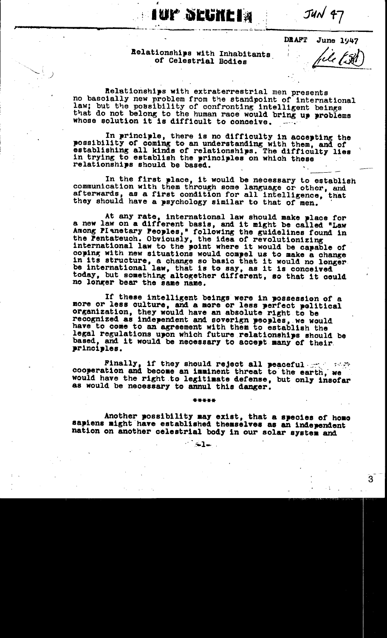$JUN$  47

**June 1947** 

**DRAFT** 

Relationships with Inhabitants of Celestrial Bodies

**Mup Seche in** 

Relationships with extraterrestrial men presents no bascially new problem from the standpoint of international law; but the possibility of confronting intelligent beings that do not belong to the human race would bring up problems whose solution it is difficult to conceive.

In principle, there is no difficulty in accepting the possibility of coming to an understanding with them, and of establishing all kinds of relationships. The difficulty lies in trying to establish the principles on which these relationships should be based.

In the first place, it would be necessary to establish communication with them through some language or other, and afterwards, as a first condition for all intelligence, that they should have a psychology similar to that of men.

At any rate, international law should make place for a new law on a different basis, and it might be called "Law Among PIanetary Peoples," following the guidelines found in the Pentateuch. Obviously, the idea of revolutionizing international law to the point where it would be capable of coping with new situations would compel us to make a change in its structure, a change so basic that it would no longer be international law, that is to say, as it is conceived today, but something altogether different, so that it could no longer bear the same name.

If these intelligent beings were in possession of a more or less culture, and a more or less perfect political organization, they would have an absolute right to be recognized as independent and soverign peoples, we would have to come to an agreement with them to establish the legal regulations upon which future relationships should be based, and it would be necessary to accept many of their. principles.

Finally, if they should reject all peaceful graphs cooperation and become an imminent threat to the earth, we would have the right to legitimate defense, but only insofar as would be necessary to annul this danger.

Another possibility may exist, that a species of homo sapiens might have established themselves as an independent nation on another celestrial body in our solar system and

 $\sim$  1.

\*\*\*\*\*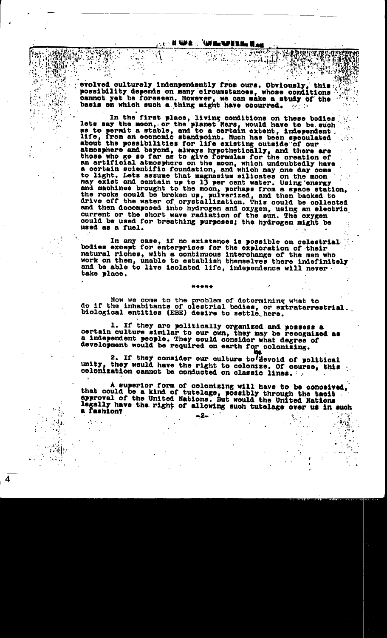$\frac{1}{2}$  ,  $\frac{1}{2}$  ,  $\frac{1}{2}$  ,  $\frac{1}{2}$  ,  $\frac{1}{2}$  ,  $\frac{1}{2}$ 

evolved culturely indenpendently from ours. Obviously, this possibility depends on many circumstances, whose conditions cannot yet be foressen. However, we can make a study of the basis on which such a thing might have occurred.

In the first place, living conditions on these bodies lets say the moon, or the planet Mars, would have to be such<br>as to permit a stable, and to a certain extent, independent.<br>life, from an economic standpoint. Much has been speculated<br>about the possibilities for life existin atmosphere and beyond, always hypothetically, and there are those who go so far as to give formulas for the creation of an artificial atmosphere on the moon, which undoubtedly have a certain scientific foundation, and which may one day come to light. Lets assume that magnesium silicates on the moon<br>may exist and contain up to 13 per cent water. Using energy<br>and machines brought to the moon, perhaps from a space station,<br>the rooks could be broken up, pulverize current or the short wave radiation of the sun. The oxygen could be used for breathing purposes; the hydrogen might be used as a fuel.

In any case, if no existence is possible on celestrial bodies except for enterprises for the exploration of their natural riches, with a continuous interchange of the men who work on them, unable to establish themselves there indefinitely and be able to live isolated life, independence will never. take place.

Now we come to the problem of determining what to do if the inhabitants of clestrial bodies, or extraterrestrial.<br>biological entities (EBE) desire to settle here.

1. If they are politically organized and possess a certain culture similar to our own, they may be recognized as a independent people. They could consider what degree of development would be required on earth for colonizing.

2. If they consider our culture to devoid of political unity. they would have the right to colonize. Of course, this colonization cannot be conducted on classic lines.

A superior form of colonizing will have to be conceived, that could be a kind of tutelage, possibly through the tacit approval of the United Nations. But would the United Nations legally have the right of allowing such tutelage over us in such a fashion? -2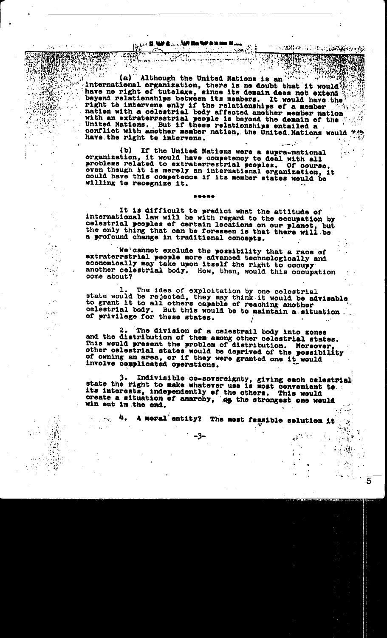**INSTALLING IN AN HOUSE IN** 

مواليا الأروسية

(a) Although the United Nations is an international organization, there is no doubt that it would have no right of tutelage, since its domain does not extend beyond relationships between its members. It would have the right to intervene enly if the relationships of a member with a celestrial body affected another member nation with an extraterrestrial people is beyond the demain of the United Nations. But if these relationships entailed a conflict with another member nation, the United Nations would have the right to intervene.

(b) If the United Nations were a supra-national organization, it would have competency to deal with all problems related to extraterrestrial peoples. Of course even though it is merely an international organization, it could have this competence if its member states would be willing to recognize it.

It is difficult to predict what the attitude of international law will be with regard to the occupation by celestrial peoples of certain locations on our planet, but the only thing that can be foreseen is that there will be a profound change in traditional concepts.

We cannot exclude the possibility that a race of extraterrstrial people nore advanced technologically and economically may take upon itself the right to occupy another celestrial body. How, then, would this occupation come about?

The idea of exploitation by one celestrial state would be rejected, they may think it would be advisable to grant it to all others capable of reaching another celestrial body. But this would be to maintain a situation of privilege for these states.

The division of a celestrail body into zones and the distribution of them among other celestrial states. This would present the problem of distribution. Moreover, other celestrial states would be deprived of the possibility of owning an area, or if they were granted one it would involve complicated operations.

Indivisible co-sovereignty, giving each celestrial state the right to make whatever use is most convenient to. its interests, independently of the others. This would oreate a situation of anarchy, as the strongest one would win out in the end.

A moral entity? The most feasible solution it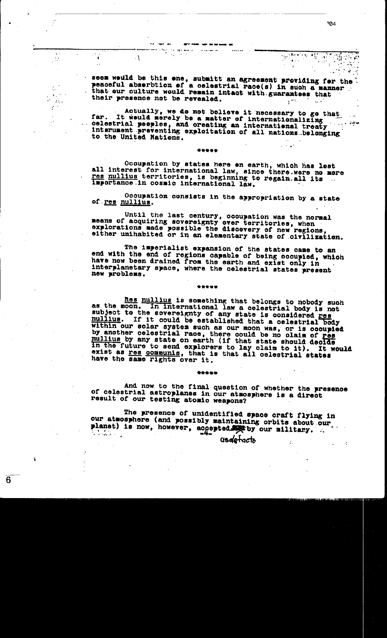seem weuld be this ene, submitt an agreement providing for the " peaceful abserbtion of a celestrial race(s) in such a manner that our culture would remain intact with guarantees that their presence not be revealed.

 $\mathbf{r}$ 

 $\mathbb{R}^{\bullet}$ 

 $\mathbf{r} \in \mathbb{R}$ 

**SALE**  $\mathcal{F}_{\mathcal{G}}$ 

÷

 $\cdot$ 

Actually, we do not believe it necessary to go that far. It would merely be a matter of internationalizing celestrial peeples, and oreating an international treaty interument preventing exploitation of all nations belonging to the United Nations.

\*\*\*\*\*

Occupation by states here on earth, which has lost all interest for international law, since there were no more res nullius territories, is beginning to regain all its ... importance in cosmic international law.

Occupation consists in the appropriation by a state of <u>res nulli</u>us.

Until the last century, occupation was the normal means of acquiring sovereignty over territories, when explorations made possible the discovery of new regions, either unihabited or in an elementary state of civilization.

The imperialist expansion of the states came to an end with the end of regions capable of being occupied, which have now been drained from the earth and exist only in interplanetary space, where the celestrial states present new problems.

\*\*\*\*\*

Res nullius is something that belongs to nobody such as the moon. In international law a celestrial body is not subject to the sovereignty of any state is considered res mullius. If it could be established that a celestrial body within our solar system such as our moon was, or is occupied<br>by another celestrial race, there could be no claim of res<br>nullius by any state on earth (if that state should decide in the future to send explorers to lay claim to it). It would exist as res communis, that is that all celestrial states have the same rights over it.

#### \*\*\*\*\*

And now to the final question of whether the presence of celestrial astroplanes in our atmosphere is a direct result of our testing atomic weapons?

The presence of unidentified space craft flying in our atmosphere (and possibly maintaining orbits about our planet) is now, however, accepted by our military.

-94

che all'est.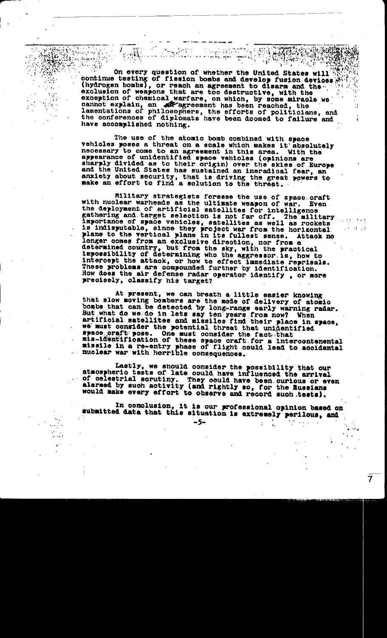On every question of whether the United States will continue testing of fission bombs and develop fusion devices (hydrogen bombs), or reach an agreement to disarm and the graduaton of weapons that are too destructive, with the exclusion of weapons that are too usurfuctive, with the<br>exception of chemical warfare, on which, by some miracle we<br>cannot explain, an all agreement has been reached, the<br>lamentations of philosophers, the efforts of politi have accomplished nothing.

ASSES OF BUILDING

 $\label{eq:reduced} \mathcal{L} = \mathcal{W}(\mathcal{L}) \quad .$ 

المترافي فرسيتهم

The use of the atomic bomb combined with space vehicles poses a threat on a scale which makes it absolutely necessary to come to an agreement in this area. With the appearance of unidentified space vehicles (opinions are sharply divided as to their origin) over the skies of Europe and the United States has sustained an ineradical fear, an anxiety about security, that is driving the great powers to make an effort to find a solution to the threat.

Military strategists foresee the use of space craft<br>with nuclear warheads as the ultimate weapon of war. Even the deployment of artificial satellites for intelligence gathering and target selection is not far off. The military importance of space vehicles, satellites as well as rockets is indisputable, since they project war from the horizontal plane to the vertical plane in its fullest sense. Attack no longer comes from an exclusive direction, nor from a determined country, but from the sky, with the practical impossibility of determining who the aggressor is, how to intercept the attack, or how to effect immediate reprisals. These problems are compounded further by identification. How does the air defense radar operator identify, or more precisely, classify his target?

 $\mathbb{Z}^2$ 

一種 一点

At present, we can breath a little easier knowing that slow moving bombers are the mode of delivery of atomic bombs that can be detected by long-range early warning radar. But what do we do in lets say ten years from now? When artificial satellites and missiles find their place in space, we must consider the potential threat that unidentified space craft pose. One must consider the fact that mis-identification of these space craft for a intercontenental missile in a re-entry phase of flight could lead to accidental nuclear war with horrible consequences.

Lastly, we should consider the possibility that our atmospheric tests of late could have influenced the arrival of celestrial scrutiny. They could have been curious or even<br>alarmed by such activity (and rightly so, for the Russians would make every effort to observe and record such tests).

In conclusion, it is our professional opinion based on submitted data that this situation is extremely perilous, and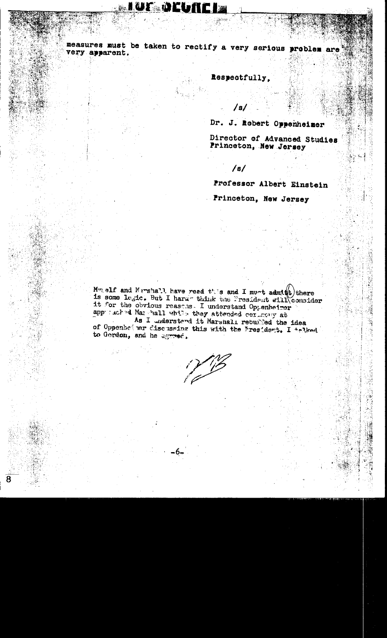# <u> Lue Deurle</u>

measures must be taken to rectify a very serious problem are very apparent.

Respectfully,

/s/

Dr. J. Robert Oppenheimer

Director of Advanced Studies Princeton, New Jersey

/s/

Professor Albert Einstein

Princeton, New Jersey

Mwgelf and Mershall have reed this and I must admits there is some logic. But I hard think the President will consider it for the obvious reasons. I understand Oppenheimer appurached Mar hall while they attended cerimony at

As I understand it Marshall rebuiled the idea of Oppenhet wer discussing this with the President. I telked to Gordon, and he agreed.

1218